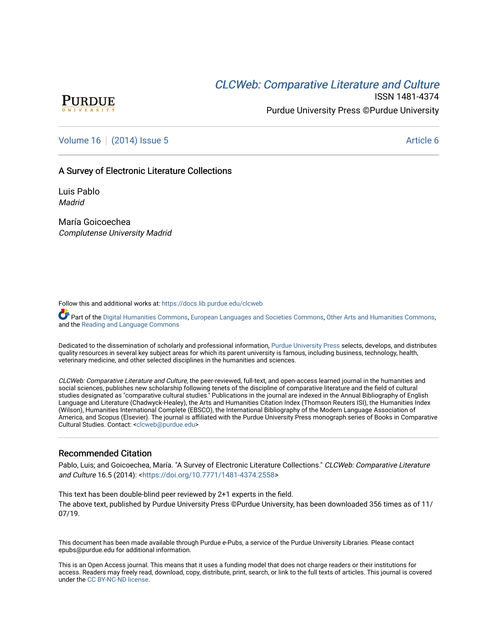# CLCW[eb: Comparative Liter](https://docs.lib.purdue.edu/clcweb)ature and Culture



ISSN 1481-4374 Purdue University Press ©Purdue University

### [Volume 16](https://docs.lib.purdue.edu/clcweb/vol16) | [\(2014\) Issue 5](https://docs.lib.purdue.edu/clcweb/vol16/iss5) Article 6

### A Survey of Electronic Literature Collections

Luis Pablo **Madrid** 

María Goicoechea Complutense University Madrid

Follow this and additional works at: [https://docs.lib.purdue.edu/clcweb](https://docs.lib.purdue.edu/clcweb?utm_source=docs.lib.purdue.edu%2Fclcweb%2Fvol16%2Fiss5%2F6&utm_medium=PDF&utm_campaign=PDFCoverPages)

Part of the [Digital Humanities Commons](http://network.bepress.com/hgg/discipline/1286?utm_source=docs.lib.purdue.edu%2Fclcweb%2Fvol16%2Fiss5%2F6&utm_medium=PDF&utm_campaign=PDFCoverPages), [European Languages and Societies Commons](http://network.bepress.com/hgg/discipline/482?utm_source=docs.lib.purdue.edu%2Fclcweb%2Fvol16%2Fiss5%2F6&utm_medium=PDF&utm_campaign=PDFCoverPages), [Other Arts and Humanities Commons,](http://network.bepress.com/hgg/discipline/577?utm_source=docs.lib.purdue.edu%2Fclcweb%2Fvol16%2Fiss5%2F6&utm_medium=PDF&utm_campaign=PDFCoverPages) and the [Reading and Language Commons](http://network.bepress.com/hgg/discipline/1037?utm_source=docs.lib.purdue.edu%2Fclcweb%2Fvol16%2Fiss5%2F6&utm_medium=PDF&utm_campaign=PDFCoverPages) 

Dedicated to the dissemination of scholarly and professional information, [Purdue University Press](http://www.thepress.purdue.edu/) selects, develops, and distributes quality resources in several key subject areas for which its parent university is famous, including business, technology, health, veterinary medicine, and other selected disciplines in the humanities and sciences.

CLCWeb: Comparative Literature and Culture, the peer-reviewed, full-text, and open-access learned journal in the humanities and social sciences, publishes new scholarship following tenets of the discipline of comparative literature and the field of cultural studies designated as "comparative cultural studies." Publications in the journal are indexed in the Annual Bibliography of English Language and Literature (Chadwyck-Healey), the Arts and Humanities Citation Index (Thomson Reuters ISI), the Humanities Index (Wilson), Humanities International Complete (EBSCO), the International Bibliography of the Modern Language Association of America, and Scopus (Elsevier). The journal is affiliated with the Purdue University Press monograph series of Books in Comparative Cultural Studies. Contact: [<clcweb@purdue.edu](mailto:clcweb@purdue.edu)>

### Recommended Citation

Pablo, Luis; and Goicoechea, María. "A Survey of Electronic Literature Collections." CLCWeb: Comparative Literature and Culture 16.5 (2014): [<https://doi.org/10.7771/1481-4374.2558>](https://doi.org/10.7771/1481-4374.2558)

This text has been double-blind peer reviewed by 2+1 experts in the field. The above text, published by Purdue University Press ©Purdue University, has been downloaded 356 times as of 11/ 07/19.

This document has been made available through Purdue e-Pubs, a service of the Purdue University Libraries. Please contact epubs@purdue.edu for additional information.

This is an Open Access journal. This means that it uses a funding model that does not charge readers or their institutions for access. Readers may freely read, download, copy, distribute, print, search, or link to the full texts of articles. This journal is covered under the [CC BY-NC-ND license.](https://creativecommons.org/licenses/by-nc-nd/4.0/)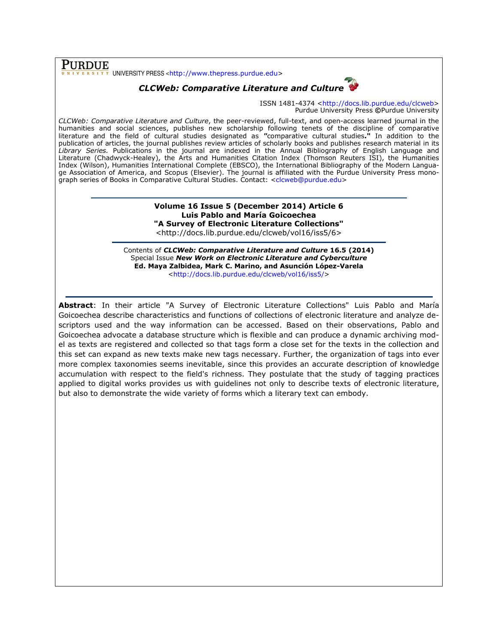PURDUE UNIVERSITY PRESS <http://www.thepress.purdue.edu>

## CLCWeb: Comparative Literature and Culture



ISSN 1481-4374 <http://docs.lib.purdue.edu/clcweb> Purdue University Press ©Purdue University

CLCWeb: Comparative Literature and Culture, the peer-reviewed, full-text, and open-access learned journal in the humanities and social sciences, publishes new scholarship following tenets of the discipline of comparative literature and the field of cultural studies designated as "comparative cultural studies." In addition to the publication of articles, the journal publishes review articles of scholarly books and publishes research material in its Library Series. Publications in the journal are indexed in the Annual Bibliography of English Language and Literature (Chadwyck-Healey), the Arts and Humanities Citation Index (Thomson Reuters ISI), the Humanities Index (Wilson), Humanities International Complete (EBSCO), the International Bibliography of the Modern Language Association of America, and Scopus (Elsevier). The journal is affiliated with the Purdue University Press monograph series of Books in Comparative Cultural Studies. Contact: <clcweb@purdue.edu>

### Volume 16 Issue 5 (December 2014) Article 6 Luis Pablo and María Goicoechea "A Survey of Electronic Literature Collections"

<http://docs.lib.purdue.edu/clcweb/vol16/iss5/6>

Contents of CLCWeb: Comparative Literature and Culture 16.5 (2014) Special Issue New Work on Electronic Literature and Cyberculture Ed. Maya Zalbidea, Mark C. Marino, and Asunción López-Varela <http://docs.lib.purdue.edu/clcweb/vol16/iss5/>

Abstract: In their article "A Survey of Electronic Literature Collections" Luis Pablo and María Goicoechea describe characteristics and functions of collections of electronic literature and analyze descriptors used and the way information can be accessed. Based on their observations, Pablo and Goicoechea advocate a database structure which is flexible and can produce a dynamic archiving model as texts are registered and collected so that tags form a close set for the texts in the collection and this set can expand as new texts make new tags necessary. Further, the organization of tags into ever more complex taxonomies seems inevitable, since this provides an accurate description of knowledge accumulation with respect to the field's richness. They postulate that the study of tagging practices applied to digital works provides us with guidelines not only to describe texts of electronic literature, but also to demonstrate the wide variety of forms which a literary text can embody.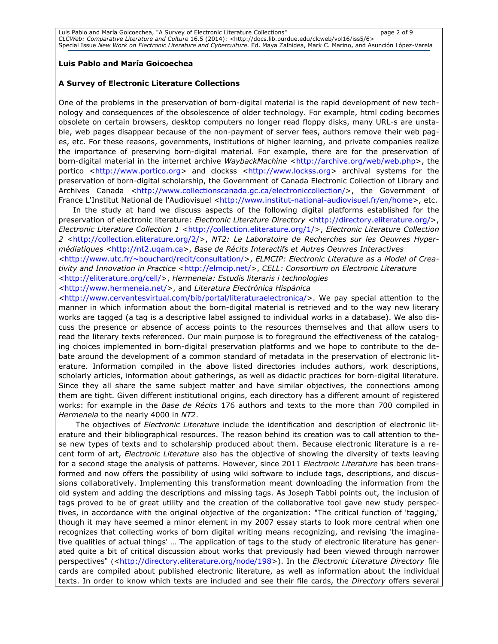#### Luis Pablo and María Goicoechea

#### A Survey of Electronic Literature Collections

One of the problems in the preservation of born-digital material is the rapid development of new technology and consequences of the obsolescence of older technology. For example, html coding becomes obsolete on certain browsers, desktop computers no longer read floppy disks, many URL-s are unstable, web pages disappear because of the non-payment of server fees, authors remove their web pages, etc. For these reasons, governments, institutions of higher learning, and private companies realize the importance of preserving born-digital material. For example, there are for the preservation of born-digital material in the internet archive WaybackMachine <http://archive.org/web/web.php>, the portico <http://www.portico.org> and clockss <http://www.lockss.org> archival systems for the preservation of born-digital scholarship, the Government of Canada Electronic Collection of Library and Archives Canada <http://www.collectionscanada.gc.ca/electroniccollection/>, the Government of France L'Institut National de l'Audiovisuel <http://www.institut-national-audiovisuel.fr/en/home>, etc.

In the study at hand we discuss aspects of the following digital platforms established for the preservation of electronic literature: Electronic Literature Directory <http://directory.eliterature.org/>, Electronic Literature Collection 1 <http://collection.eliterature.org/1/>, Electronic Literature Collection 2 <http://collection.eliterature.org/2/>, NT2: Le Laboratoire de Recherches sur les Oeuvres Hypermédiatiques <http://nt2.uqam.ca>, Base de Récits Interactifs et Autres Oeuvres Interactives <http://www.utc.fr/~bouchard/recit/consultation/>, ELMCIP: Electronic Literature as a Model of Creativity and Innovation in Practice <http://elmcip.net/>, CELL: Consortium on Electronic Literature <http://eliterature.org/cell/>, Hermeneia: Estudis literaris i technologies

<http://www.hermeneia.net/>, and Literatura Electrónica Hispánica

<http://www.cervantesvirtual.com/bib/portal/literaturaelectronica/>. We pay special attention to the manner in which information about the born-digital material is retrieved and to the way new literary works are tagged (a tag is a descriptive label assigned to individual works in a database). We also discuss the presence or absence of access points to the resources themselves and that allow users to read the literary texts referenced. Our main purpose is to foreground the effectiveness of the cataloging choices implemented in born-digital preservation platforms and we hope to contribute to the debate around the development of a common standard of metadata in the preservation of electronic literature. Information compiled in the above listed directories includes authors, work descriptions, scholarly articles, information about gatherings, as well as didactic practices for born-digital literature. Since they all share the same subject matter and have similar objectives, the connections among them are tight. Given different institutional origins, each directory has a different amount of registered works: for example in the *Base de Récits* 176 authors and texts to the more than 700 compiled in Hermeneia to the nearly 4000 in NT2.

The objectives of Electronic Literature include the identification and description of electronic literature and their bibliographical resources. The reason behind its creation was to call attention to these new types of texts and to scholarship produced about them. Because electronic literature is a recent form of art, Electronic Literature also has the objective of showing the diversity of texts leaving for a second stage the analysis of patterns. However, since 2011 Electronic Literature has been transformed and now offers the possibility of using wiki software to include tags, descriptions, and discussions collaboratively. Implementing this transformation meant downloading the information from the old system and adding the descriptions and missing tags. As Joseph Tabbi points out, the inclusion of tags proved to be of great utility and the creation of the collaborative tool gave new study perspectives, in accordance with the original objective of the organization: "The critical function of 'tagging,' though it may have seemed a minor element in my 2007 essay starts to look more central when one recognizes that collecting works of born digital writing means recognizing, and revising 'the imaginative qualities of actual things' … The application of tags to the study of electronic literature has generated quite a bit of critical discussion about works that previously had been viewed through narrower perspectives" (<http://directory.eliterature.org/node/198>). In the Electronic Literature Directory file cards are compiled about published electronic literature, as well as information about the individual texts. In order to know which texts are included and see their file cards, the Directory offers several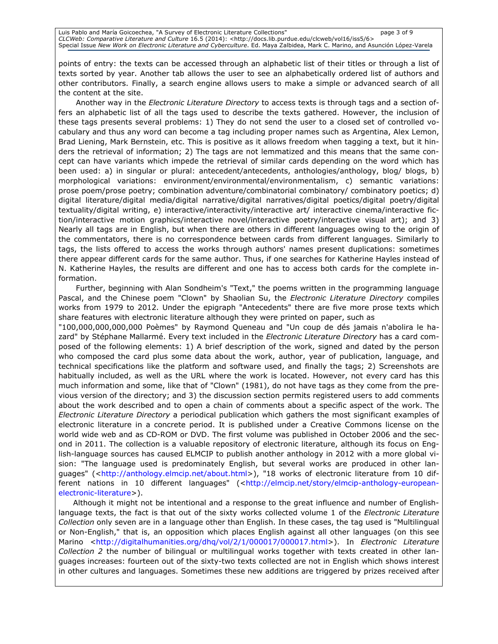points of entry: the texts can be accessed through an alphabetic list of their titles or through a list of texts sorted by year. Another tab allows the user to see an alphabetically ordered list of authors and other contributors. Finally, a search engine allows users to make a simple or advanced search of all the content at the site.

Another way in the *Electronic Literature Directory* to access texts is through tags and a section offers an alphabetic list of all the tags used to describe the texts gathered. However, the inclusion of these tags presents several problems: 1) They do not send the user to a closed set of controlled vocabulary and thus any word can become a tag including proper names such as Argentina, Alex Lemon, Brad Liening, Mark Bernstein, etc. This is positive as it allows freedom when tagging a text, but it hinders the retrieval of information; 2) The tags are not lemmatized and this means that the same concept can have variants which impede the retrieval of similar cards depending on the word which has been used: a) in singular or plural: antecedent/antecedents, anthologies/anthology, blog/ blogs, b) morphological variations: environment/environmental/environmentalism, c) semantic variations: prose poem/prose poetry; combination adventure/combinatorial combinatory/ combinatory poetics; d) digital literature/digital media/digital narrative/digital narratives/digital poetics/digital poetry/digital textuality/digital writing, e) interactive/interactivity/interactive art/ interactive cinema/interactive fiction/interactive motion graphics/interactive novel/interactive poetry/interactive visual art); and 3) Nearly all tags are in English, but when there are others in different languages owing to the origin of the commentators, there is no correspondence between cards from different languages. Similarly to tags, the lists offered to access the works through authors' names present duplications: sometimes there appear different cards for the same author. Thus, if one searches for Katherine Hayles instead of N. Katherine Hayles, the results are different and one has to access both cards for the complete information.

Further, beginning with Alan Sondheim's "Text," the poems written in the programming language Pascal, and the Chinese poem "Clown" by Shaolian Su, the *Electronic Literature Directory* compiles works from 1979 to 2012. Under the epigraph "Antecedents" there are five more prose texts which share features with electronic literature although they were printed on paper, such as

"100,000,000,000,000 Poèmes" by Raymond Queneau and "Un coup de dés jamais n'abolira le hazard" by Stéphane Mallarmé. Every text included in the Electronic Literature Directory has a card composed of the following elements: 1) A brief description of the work, signed and dated by the person who composed the card plus some data about the work, author, year of publication, language, and technical specifications like the platform and software used, and finally the tags; 2) Screenshots are habitually included, as well as the URL where the work is located. However, not every card has this much information and some, like that of "Clown" (1981), do not have tags as they come from the previous version of the directory; and 3) the discussion section permits registered users to add comments about the work described and to open a chain of comments about a specific aspect of the work. The Electronic Literature Directory a periodical publication which gathers the most significant examples of electronic literature in a concrete period. It is published under a Creative Commons license on the world wide web and as CD-ROM or DVD. The first volume was published in October 2006 and the second in 2011. The collection is a valuable repository of electronic literature, although its focus on English-language sources has caused ELMCIP to publish another anthology in 2012 with a more global vision: "The language used is predominately English, but several works are produced in other languages" (<http://anthology.elmcip.net/about.html>), "18 works of electronic literature from 10 different nations in 10 different languages" (<http://elmcip.net/story/elmcip-anthology-europeanelectronic-literature>).

Although it might not be intentional and a response to the great influence and number of Englishlanguage texts, the fact is that out of the sixty works collected volume 1 of the *Electronic Literature* Collection only seven are in a language other than English. In these cases, the tag used is "Multilingual or Non-English," that is, an opposition which places English against all other languages (on this see Marino <http://digitalhumanities.org/dhg/vol/2/1/000017/000017.html>). In Electronic Literature Collection 2 the number of bilingual or multilingual works together with texts created in other languages increases: fourteen out of the sixty-two texts collected are not in English which shows interest in other cultures and languages. Sometimes these new additions are triggered by prizes received after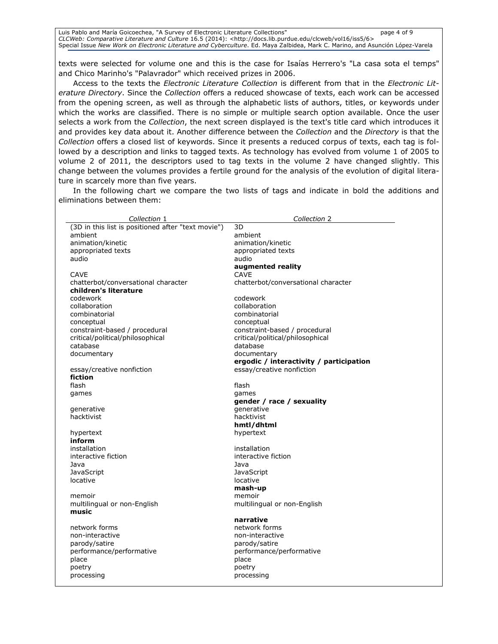Luis Pablo and María Goicoechea, "A Survey of Electronic Literature Collections" page 4 of 9 CLCWeb: Comparative Literature and Culture 16.5 (2014): <http://docs.lib.purdue.edu/clcweb/vol16/iss5/6> Special Issue New Work on Electronic Literature and Cyberculture. Ed. Maya Zalbidea, Mark C. Marino, and Asunción López-Varela

texts were selected for volume one and this is the case for Isaías Herrero's "La casa sota el temps" and Chico Marinho's "Palavrador" which received prizes in 2006.

Access to the texts the *Electronic Literature Collection* is different from that in the *Electronic Lit*erature Directory. Since the Collection offers a reduced showcase of texts, each work can be accessed from the opening screen, as well as through the alphabetic lists of authors, titles, or keywords under which the works are classified. There is no simple or multiple search option available. Once the user selects a work from the Collection, the next screen displayed is the text's title card which introduces it and provides key data about it. Another difference between the Collection and the Directory is that the Collection offers a closed list of keywords. Since it presents a reduced corpus of texts, each tag is followed by a description and links to tagged texts. As technology has evolved from volume 1 of 2005 to volume 2 of 2011, the descriptors used to tag texts in the volume 2 have changed slightly. This change between the volumes provides a fertile ground for the analysis of the evolution of digital literature in scarcely more than five years.

In the following chart we compare the two lists of tags and indicate in bold the additions and eliminations between them:

| Collection 1                                       | Collection 2                            |
|----------------------------------------------------|-----------------------------------------|
| (3D in this list is positioned after "text movie") | 3D                                      |
| ambient                                            | ambient                                 |
| animation/kinetic                                  | animation/kinetic                       |
| appropriated texts                                 | appropriated texts                      |
| audio                                              | audio                                   |
|                                                    | augmented reality                       |
| <b>CAVE</b>                                        | <b>CAVE</b>                             |
| chatterbot/conversational character                | chatterbot/conversational character     |
| children's literature                              |                                         |
| codework                                           | codework                                |
| collaboration                                      | collaboration                           |
| combinatorial                                      | combinatorial                           |
| conceptual                                         | conceptual                              |
| constraint-based / procedural                      | constraint-based / procedural           |
| critical/political/philosophical                   | critical/political/philosophical        |
| catabase                                           | database                                |
| documentary                                        | documentary                             |
|                                                    | ergodic / interactivity / participation |
| essay/creative nonfiction                          | essay/creative nonfiction               |
| fiction                                            |                                         |
| flash                                              | flash                                   |
| games                                              | games                                   |
|                                                    | gender / race / sexuality               |
| generative                                         | generative                              |
| hacktivist                                         | hacktivist                              |
|                                                    | hmtl/dhtml                              |
| hypertext                                          | hypertext                               |
| inform                                             |                                         |
| installation                                       | installation                            |
| interactive fiction                                | interactive fiction                     |
| Java                                               | Java                                    |
| JavaScript                                         | JavaScript                              |
| locative                                           | locative                                |
|                                                    | mash-up                                 |
| memoir                                             | memoir                                  |
| multilingual or non-English                        | multilingual or non-English             |
| music                                              |                                         |
|                                                    | narrative                               |
| network forms                                      | network forms                           |
| non-interactive                                    | non-interactive                         |
| parody/satire                                      | parody/satire                           |
| performance/performative                           | performance/performative                |
| place                                              | place                                   |
| poetry                                             | poetry                                  |
| processing                                         | processing                              |
|                                                    |                                         |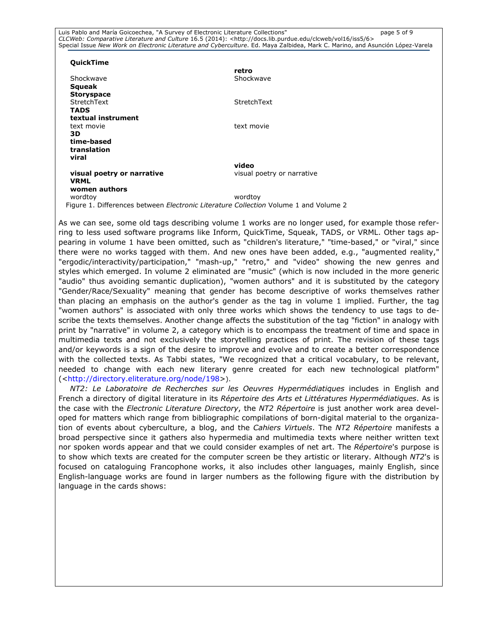Luis Pablo and María Goicoechea, "A Survey of Electronic Literature Collections" page 5 of 9 CLCWeb: Comparative Literature and Culture 16.5 (2014): <http://docs.lib.purdue.edu/clcweb/vol16/iss5/6> Special Issue New Work on Electronic Literature and Cyberculture. Ed. Maya Zalbidea, Mark C. Marino, and Asunción López-Varela

#### **OuickTime**

|                                                                                            | retro                      |
|--------------------------------------------------------------------------------------------|----------------------------|
| Shockwave                                                                                  | Shockwave                  |
| Squeak                                                                                     |                            |
| <b>Storyspace</b>                                                                          |                            |
| StretchText                                                                                | StretchText                |
| <b>TADS</b>                                                                                |                            |
| textual instrument                                                                         |                            |
| text movie                                                                                 | text movie                 |
| 3D.                                                                                        |                            |
| time-based                                                                                 |                            |
| translation                                                                                |                            |
| viral                                                                                      |                            |
|                                                                                            | video                      |
| visual poetry or narrative                                                                 | visual poetry or narrative |
| <b>VRML</b>                                                                                |                            |
| women authors                                                                              |                            |
| wordtoy                                                                                    | wordtoy                    |
| igure 1. Differences between <i>Electronic Literature Collection</i> Volume 1 and Volume 2 |                            |

As we can see, some old tags describing volume 1 works are no longer used, for example those referring to less used software programs like Inform, QuickTime, Squeak, TADS, or VRML. Other tags appearing in volume 1 have been omitted, such as "children's literature," "time-based," or "viral," since there were no works tagged with them. And new ones have been added, e.g., "augmented reality," "ergodic/interactivity/participation," "mash-up," "retro," and "video" showing the new genres and styles which emerged. In volume 2 eliminated are "music" (which is now included in the more generic "audio" thus avoiding semantic duplication), "women authors" and it is substituted by the category "Gender/Race/Sexuality" meaning that gender has become descriptive of works themselves rather than placing an emphasis on the author's gender as the tag in volume 1 implied. Further, the tag "women authors" is associated with only three works which shows the tendency to use tags to describe the texts themselves. Another change affects the substitution of the tag "fiction" in analogy with print by "narrative" in volume 2, a category which is to encompass the treatment of time and space in multimedia texts and not exclusively the storytelling practices of print. The revision of these tags and/or keywords is a sign of the desire to improve and evolve and to create a better correspondence with the collected texts. As Tabbi states, "We recognized that a critical vocabulary, to be relevant, needed to change with each new literary genre created for each new technological platform" (<http://directory.eliterature.org/node/198>).

NT2: Le Laboratoire de Recherches sur les Oeuvres Hypermédiatiques includes in English and French a directory of digital literature in its Répertoire des Arts et Littératures Hypermédiatiques. As is the case with the Electronic Literature Directory, the NT2 Répertoire is just another work area developed for matters which range from bibliographic compilations of born-digital material to the organization of events about cyberculture, a blog, and the Cahiers Virtuels. The NT2 Répertoire manifests a broad perspective since it gathers also hypermedia and multimedia texts where neither written text nor spoken words appear and that we could consider examples of net art. The Répertoire's purpose is to show which texts are created for the computer screen be they artistic or literary. Although NT2's is focused on cataloguing Francophone works, it also includes other languages, mainly English, since English-language works are found in larger numbers as the following figure with the distribution by language in the cards shows: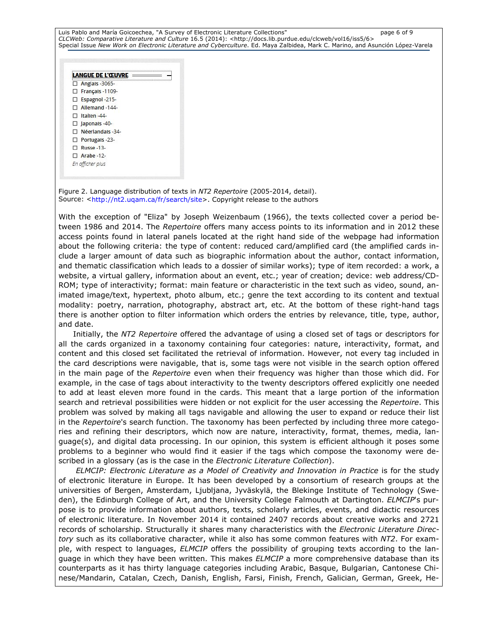Luis Pablo and María Goicoechea, "A Survey of Electronic Literature Collections" page 6 of 9 CLCWeb: Comparative Literature and Culture 16.5 (2014): <http://docs.lib.purdue.edu/clcweb/vol16/iss5/6> Special Issue New Work on Electronic Literature and Cyberculture. Ed. Maya Zalbidea, Mark C. Marino, and Asunción López-Varela

|     | LANGUE DE L'ŒUVRE      |  |
|-----|------------------------|--|
|     | $\Box$ Anglais -3065-  |  |
|     | $\Box$ Français -1109- |  |
|     | Espagnol-215-          |  |
|     | $\Box$ Allemand -144-  |  |
|     | $\Box$ Italien -44-    |  |
|     | $\Box$ Japonals -40-   |  |
|     | Néerlandais -34-       |  |
|     | $\Box$ Portugals -23-  |  |
| . . | <b>Russe-13-</b>       |  |
|     | Arabe -12-             |  |
|     | En afficher plus       |  |

Figure 2. Language distribution of texts in NT2 Repertoire (2005-2014, detail). Source: <http://nt2.uqam.ca/fr/search/site>. Copyright release to the authors

With the exception of "Eliza" by Joseph Weizenbaum (1966), the texts collected cover a period between 1986 and 2014. The Repertoire offers many access points to its information and in 2012 these access points found in lateral panels located at the right hand side of the webpage had information about the following criteria: the type of content: reduced card/amplified card (the amplified cards include a larger amount of data such as biographic information about the author, contact information, and thematic classification which leads to a dossier of similar works); type of item recorded: a work, a website, a virtual gallery, information about an event, etc.; year of creation; device: web address/CD-ROM; type of interactivity; format: main feature or characteristic in the text such as video, sound, animated image/text, hypertext, photo album, etc.; genre the text according to its content and textual modality: poetry, narration, photography, abstract art, etc. At the bottom of these right-hand tags there is another option to filter information which orders the entries by relevance, title, type, author, and date.

Initially, the NT2 Repertoire offered the advantage of using a closed set of tags or descriptors for all the cards organized in a taxonomy containing four categories: nature, interactivity, format, and content and this closed set facilitated the retrieval of information. However, not every tag included in the card descriptions were navigable, that is, some tags were not visible in the search option offered in the main page of the Repertoire even when their frequency was higher than those which did. For example, in the case of tags about interactivity to the twenty descriptors offered explicitly one needed to add at least eleven more found in the cards. This meant that a large portion of the information search and retrieval possibilities were hidden or not explicit for the user accessing the Repertoire. This problem was solved by making all tags navigable and allowing the user to expand or reduce their list in the Repertoire's search function. The taxonomy has been perfected by including three more categories and refining their descriptors, which now are nature, interactivity, format, themes, media, language(s), and digital data processing. In our opinion, this system is efficient although it poses some problems to a beginner who would find it easier if the tags which compose the taxonomy were described in a glossary (as is the case in the Electronic Literature Collection).

ELMCIP: Electronic Literature as a Model of Creativity and Innovation in Practice is for the study of electronic literature in Europe. It has been developed by a consortium of research groups at the universities of Bergen, Amsterdam, Ljubljana, Jyväskylä, the Blekinge Institute of Technology (Sweden), the Edinburgh College of Art, and the University College Falmouth at Dartington. ELMCIP's purpose is to provide information about authors, texts, scholarly articles, events, and didactic resources of electronic literature. In November 2014 it contained 2407 records about creative works and 2721 records of scholarship. Structurally it shares many characteristics with the *Electronic Literature Direc*tory such as its collaborative character, while it also has some common features with NT2. For example, with respect to languages, ELMCIP offers the possibility of grouping texts according to the language in which they have been written. This makes ELMCIP a more comprehensive database than its counterparts as it has thirty language categories including Arabic, Basque, Bulgarian, Cantonese Chinese/Mandarin, Catalan, Czech, Danish, English, Farsi, Finish, French, Galician, German, Greek, He-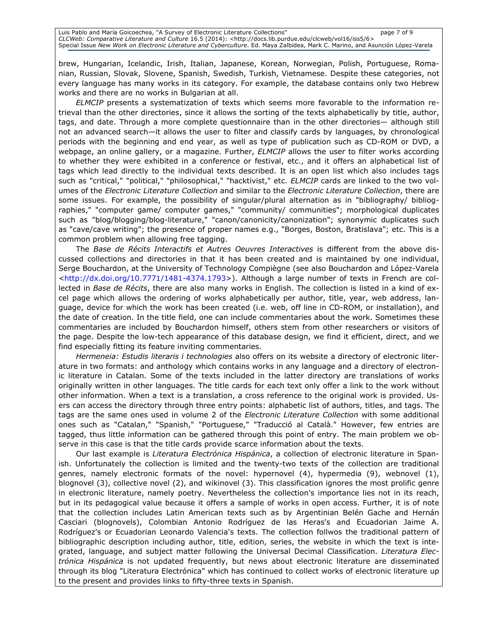brew, Hungarian, Icelandic, Irish, Italian, Japanese, Korean, Norwegian, Polish, Portuguese, Romanian, Russian, Slovak, Slovene, Spanish, Swedish, Turkish, Vietnamese. Despite these categories, not every language has many works in its category. For example, the database contains only two Hebrew works and there are no works in Bulgarian at all.

ELMCIP presents a systematization of texts which seems more favorable to the information retrieval than the other directories, since it allows the sorting of the texts alphabetically by title, author, tags, and date. Through a more complete questionnaire than in the other directories— although still not an advanced search—it allows the user to filter and classify cards by languages, by chronological periods with the beginning and end year, as well as type of publication such as CD-ROM or DVD, a webpage, an online gallery, or a magazine. Further, ELMCIP allows the user to filter works according to whether they were exhibited in a conference or festival, etc., and it offers an alphabetical list of tags which lead directly to the individual texts described. It is an open list which also includes tags such as "critical," "political," "philosophical," "hacktivist," etc. ELMCIP cards are linked to the two volumes of the Electronic Literature Collection and similar to the Electronic Literature Collection, there are some issues. For example, the possibility of singular/plural alternation as in "bibliography/ bibliographies," "computer game/ computer games," "community/ communities"; morphological duplicates such as "blog/blogging/blog-literature," "canon/canonicity/canonization"; synonymic duplicates such as "cave/cave writing"; the presence of proper names e.g., "Borges, Boston, Bratislava"; etc. This is a common problem when allowing free tagging.

The Base de Récits Interactifs et Autres Oeuvres Interactives is different from the above discussed collections and directories in that it has been created and is maintained by one individual, Serge Bouchardon, at the University of Technology Compiègne (see also Bouchardon and López-Varela <http://dx.doi.org/10.7771/1481-4374.1793>). Although a large number of texts in French are collected in Base de Récits, there are also many works in English. The collection is listed in a kind of excel page which allows the ordering of works alphabetically per author, title, year, web address, language, device for which the work has been created (i.e. web, off line in CD-ROM, or installation), and the date of creation. In the title field, one can include commentaries about the work. Sometimes these commentaries are included by Bouchardon himself, others stem from other researchers or visitors of the page. Despite the low-tech appearance of this database design, we find it efficient, direct, and we find especially fitting its feature inviting commentaries.

Hermeneia: Estudis literaris i technologies also offers on its website a directory of electronic literature in two formats: and anthology which contains works in any language and a directory of electronic literature in Catalan. Some of the texts included in the latter directory are translations of works originally written in other languages. The title cards for each text only offer a link to the work without other information. When a text is a translation, a cross reference to the original work is provided. Users can access the directory through three entry points: alphabetic list of authors, titles, and tags. The tags are the same ones used in volume 2 of the Electronic Literature Collection with some additional ones such as "Catalan," "Spanish," "Portuguese," "Traducció al Català." However, few entries are tagged, thus little information can be gathered through this point of entry. The main problem we observe in this case is that the title cards provide scarce information about the texts.

Our last example is Literatura Electrónica Hispánica, a collection of electronic literature in Spanish. Unfortunately the collection is limited and the twenty-two texts of the collection are traditional genres, namely electronic formats of the novel: hypernovel (4), hypermedia (9), webnovel (1), blognovel (3), collective novel (2), and wikinovel (3). This classification ignores the most prolific genre in electronic literature, namely poetry. Nevertheless the collection's importance lies not in its reach, but in its pedagogical value because it offers a sample of works in open access. Further, it is of note that the collection includes Latin American texts such as by Argentinian Belén Gache and Hernán Casciari (blognovels), Colombian Antonio Rodríguez de las Heras's and Ecuadorian Jaime A. Rodríguez's or Ecuadorian Leonardo Valencia's texts. The collection follwos the traditional pattern of bibliographic description including author, title, edition, series, the website in which the text is integrated, language, and subject matter following the Universal Decimal Classification. Literatura Electrónica Hispánica is not updated frequently, but news about electronic literature are disseminated through its blog "Literatura Electrónica" which has continued to collect works of electronic literature up to the present and provides links to fifty-three texts in Spanish.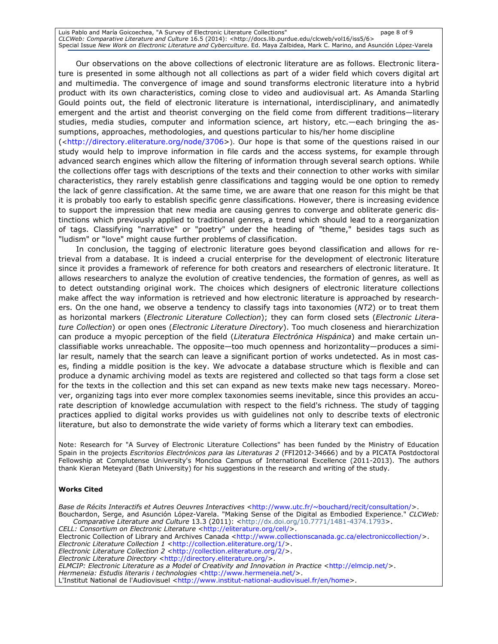Luis Pablo and María Goicoechea, "A Survey of Electronic Literature Collections" page 8 of 9 CLCWeb: Comparative Literature and Culture 16.5 (2014): <http://docs.lib.purdue.edu/clcweb/vol16/iss5/6> Special Issue New Work on Electronic Literature and Cyberculture. Ed. Maya Zalbidea, Mark C. Marino, and Asunción López-Varela

Our observations on the above collections of electronic literature are as follows. Electronic literature is presented in some although not all collections as part of a wider field which covers digital art and multimedia. The convergence of image and sound transforms electronic literature into a hybrid product with its own characteristics, coming close to video and audiovisual art. As Amanda Starling Gould points out, the field of electronic literature is international, interdisciplinary, and animatedly emergent and the artist and theorist converging on the field come from different traditions—literary studies, media studies, computer and information science, art history, etc.—each bringing the assumptions, approaches, methodologies, and questions particular to his/her home discipline

(<http://directory.eliterature.org/node/3706>). Our hope is that some of the questions raised in our study would help to improve information in file cards and the access systems, for example through advanced search engines which allow the filtering of information through several search options. While the collections offer tags with descriptions of the texts and their connection to other works with similar characteristics, they rarely establish genre classifications and tagging would be one option to remedy the lack of genre classification. At the same time, we are aware that one reason for this might be that it is probably too early to establish specific genre classifications. However, there is increasing evidence to support the impression that new media are causing genres to converge and obliterate generic distinctions which previously applied to traditional genres, a trend which should lead to a reorganization of tags. Classifying "narrative" or "poetry" under the heading of "theme," besides tags such as "ludism" or "love" might cause further problems of classification.

In conclusion, the tagging of electronic literature goes beyond classification and allows for retrieval from a database. It is indeed a crucial enterprise for the development of electronic literature since it provides a framework of reference for both creators and researchers of electronic literature. It allows researchers to analyze the evolution of creative tendencies, the formation of genres, as well as to detect outstanding original work. The choices which designers of electronic literature collections make affect the way information is retrieved and how electronic literature is approached by researchers. On the one hand, we observe a tendency to classify tags into taxonomies (NT2) or to treat them as horizontal markers (Electronic Literature Collection); they can form closed sets (Electronic Literature Collection) or open ones (Electronic Literature Directory). Too much closeness and hierarchization can produce a myopic perception of the field (Literatura Electrónica Hispánica) and make certain unclassifiable works unreachable. The opposite—too much openness and horizontality—produces a similar result, namely that the search can leave a significant portion of works undetected. As in most cases, finding a middle position is the key. We advocate a database structure which is flexible and can produce a dynamic archiving model as texts are registered and collected so that tags form a close set for the texts in the collection and this set can expand as new texts make new tags necessary. Moreover, organizing tags into ever more complex taxonomies seems inevitable, since this provides an accurate description of knowledge accumulation with respect to the field's richness. The study of tagging practices applied to digital works provides us with guidelines not only to describe texts of electronic literature, but also to demonstrate the wide variety of forms which a literary text can embodies.

Note: Research for "A Survey of Electronic Literature Collections" has been funded by the Ministry of Education Spain in the projects Escritorios Electrónicos para las Literaturas 2 (FFI2012-34666) and by a PICATA Postdoctoral Fellowship at Complutense University's Moncloa Campus of International Excellence (2011-2013). The authors thank Kieran Meteyard (Bath University) for his suggestions in the research and writing of the study.

#### Works Cited

Base de Récits Interactifs et Autres Oeuvres Interactives <http://www.utc.fr/~bouchard/recit/consultation/>. Bouchardon, Serge, and Asunción López-Varela. "Making Sense of the Digital as Embodied Experience." CLCWeb: Comparative Literature and Culture 13.3 (2011): <http://dx.doi.org/10.7771/1481-4374.1793>. CELL: Consortium on Electronic Literature <http://eliterature.org/cell/>. Electronic Collection of Library and Archives Canada <http://www.collectionscanada.gc.ca/electroniccollection/>. Electronic Literature Collection 1 <http://collection.eliterature.org/1/>. Electronic Literature Collection 2 <http://collection.eliterature.org/2/>. Electronic Literature Directory <http://directory.eliterature.org/> ELMCIP: Electronic Literature as a Model of Creativity and Innovation in Practice <http://elmcip.net/>. Hermeneia: Estudis literaris i technologies <http://www.hermeneia.net/>. L'Institut National de l'Audiovisuel <http://www.institut-national-audiovisuel.fr/en/home>.